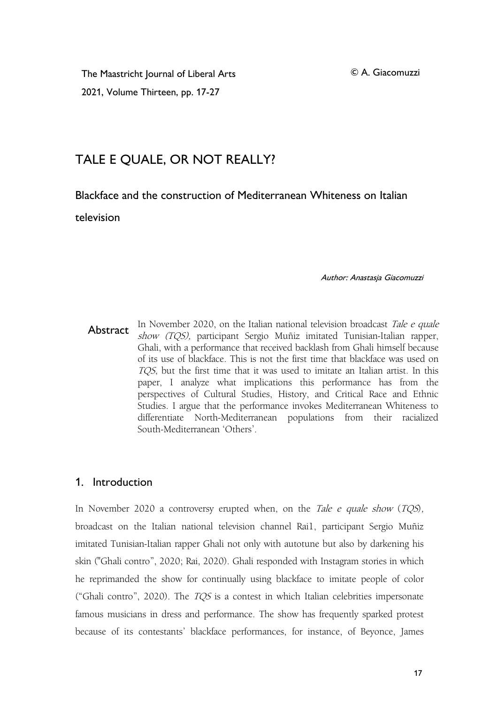The Maastricht Journal of Liberal Arts 2021, Volume Thirteen, pp. 17-27

© A. Giacomuzzi

# TALE E QUALE, OR NOT REALLY?

Blackface and the construction of Mediterranean Whiteness on Italian

television

Author: Anastasja Giacomuzzi

Abstract in November 2020, on the Italian national television broadcast *Tale e quale*<br>*show (TQS)*, participant Sergio Muñiz imitated Tunisian-Italian rapper, In November 2020, on the Italian national television broadcast Tale e quale Ghali, with a performance that received backlash from Ghali himself because of its use of blackface. This is not the first time that blackface was used on TQS, but the first time that it was used to imitate an Italian artist. In this paper, I analyze what implications this performance has from the perspectives of Cultural Studies, History, and Critical Race and Ethnic Studies. I argue that the performance invokes Mediterranean Whiteness to differentiate North-Mediterranean populations from their racialized South-Mediterranean 'Others'.

## 1. Introduction

In November 2020 a controversy erupted when, on the Tale e quale show  $(TQS)$ , broadcast on the Italian national television channel Rai1, participant Sergio Muñiz imitated Tunisian-Italian rapper Ghali not only with autotune but also by darkening his skin ("Ghali contro", 2020; Rai, 2020). Ghali responded with Instagram stories in which he reprimanded the show for continually using blackface to imitate people of color ("Ghali contro", 2020). The  $TQS$  is a contest in which Italian celebrities impersonate famous musicians in dress and performance. The show has frequently sparked protest because of its contestants' blackface performances, for instance, of Beyonce, James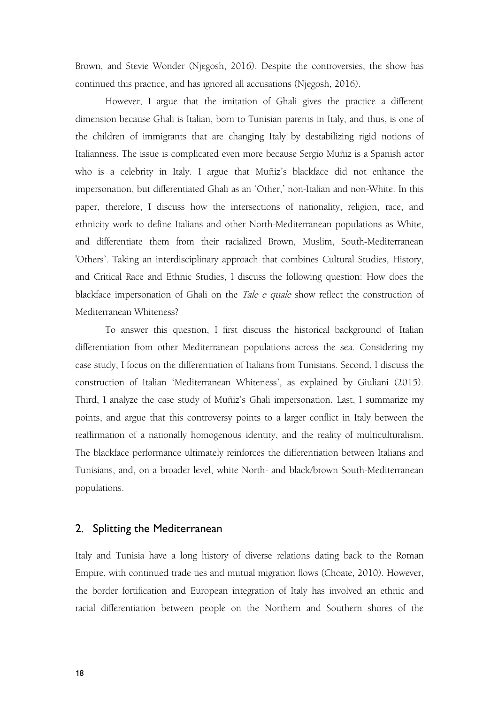Brown, and Stevie Wonder (Njegosh, 2016). Despite the controversies, the show has continued this practice, and has ignored all accusations (Njegosh, 2016).

However, I argue that the imitation of Ghali gives the practice a different dimension because Ghali is Italian, born to Tunisian parents in Italy, and thus, is one of the children of immigrants that are changing Italy by destabilizing rigid notions of Italianness. The issue is complicated even more because Sergio Muñiz is a Spanish actor who is a celebrity in Italy. I argue that Muñiz's blackface did not enhance the impersonation, but differentiated Ghali as an 'Other,' non-Italian and non-White. In this paper, therefore, I discuss how the intersections of nationality, religion, race, and ethnicity work to define Italians and other North-Mediterranean populations as White, and differentiate them from their racialized Brown, Muslim, South-Mediterranean 'Others'. Taking an interdisciplinary approach that combines Cultural Studies, History, and Critical Race and Ethnic Studies, I discuss the following question: How does the blackface impersonation of Ghali on the Tale <sup>e</sup> quale show reflect the construction of Mediterranean Whiteness?

To answer this question, I first discuss the historical background of Italian differentiation from other Mediterranean populations across the sea. Considering my case study, I focus on the differentiation of Italians from Tunisians. Second, I discuss the construction of Italian 'Mediterranean Whiteness', as explained by Giuliani (2015). Third, I analyze the case study of Muñiz's Ghali impersonation. Last, I summarize my points, and argue that this controversy points to a larger conflict in Italy between the reaffirmation of a nationally homogenous identity, and the reality of multiculturalism. The blackface performance ultimately reinforces the differentiation between Italians and Tunisians, and, on a broader level, white North- and black/brown South-Mediterranean populations.

#### 2. Splitting the Mediterranean

Italy and Tunisia have a long history of diverse relations dating back to the Roman Empire, with continued trade ties and mutual migration flows (Choate, 2010). However, the border fortification and European integration of Italy has involved an ethnic and racial differentiation between people on the Northern and Southern shores of the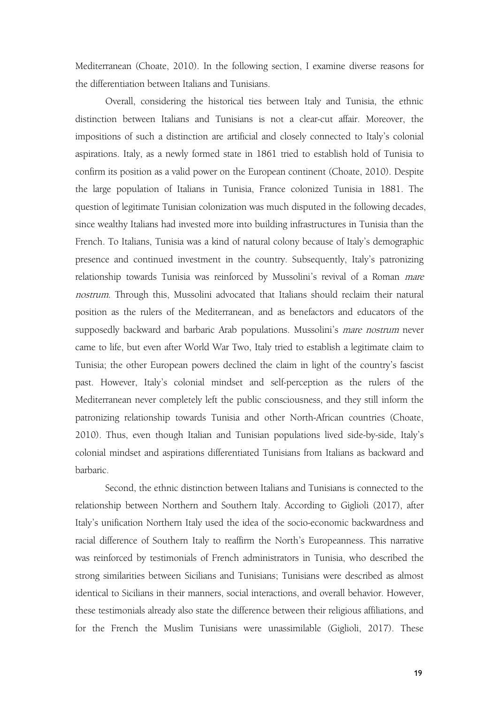Mediterranean (Choate, 2010). In the following section, I examine diverse reasons for the differentiation between Italians and Tunisians.

Overall, considering the historical ties between Italy and Tunisia, the ethnic distinction between Italians and Tunisians is not a clear-cut affair. Moreover, the impositions of such a distinction are artificial and closely connected to Italy's colonial aspirations. Italy, as a newly formed state in 1861 tried to establish hold of Tunisia to confirm its position as a valid power on the European continent (Choate, 2010). Despite the large population of Italians in Tunisia, France colonized Tunisia in 1881. The question of legitimate Tunisian colonization was much disputed in the following decades, since wealthy Italians had invested more into building infrastructures in Tunisia than the French. To Italians, Tunisia was a kind of natural colony because of Italy's demographic presence and continued investment in the country. Subsequently, Italy's patronizing relationship towards Tunisia was reinforced by Mussolini's revival of a Roman mare nostrum. Through this, Mussolini advocated that Italians should reclaim their natural position as the rulers of the Mediterranean, and as benefactors and educators of the supposedly backward and barbaric Arab populations. Mussolini's *mare nostrum* never came to life, but even after World War Two, Italy tried to establish a legitimate claim to Tunisia; the other European powers declined the claim in light of the country's fascist past. However, Italy's colonial mindset and self-perception as the rulers of the Mediterranean never completely left the public consciousness, and they still inform the patronizing relationship towards Tunisia and other North-African countries (Choate, 2010). Thus, even though Italian and Tunisian populations lived side-by-side, Italy's colonial mindset and aspirations differentiated Tunisians from Italians as backward and barbaric.<br>Second, the ethnic distinction between Italians and Tunisians is connected to the

relationship between Northern and Southern Italy. According to Giglioli (2017), after Italy's unification Northern Italy used the idea of the socio-economic backwardness and racial difference of Southern Italy to reaffirm the North's Europeanness. This narrative was reinforced by testimonials of French administrators in Tunisia, who described the strong similarities between Sicilians and Tunisians; Tunisians were described as almost identical to Sicilians in their manners, social interactions, and overall behavior. However, these testimonials already also state the difference between their religious affiliations, and for the French the Muslim Tunisians were unassimilable (Giglioli, 2017). These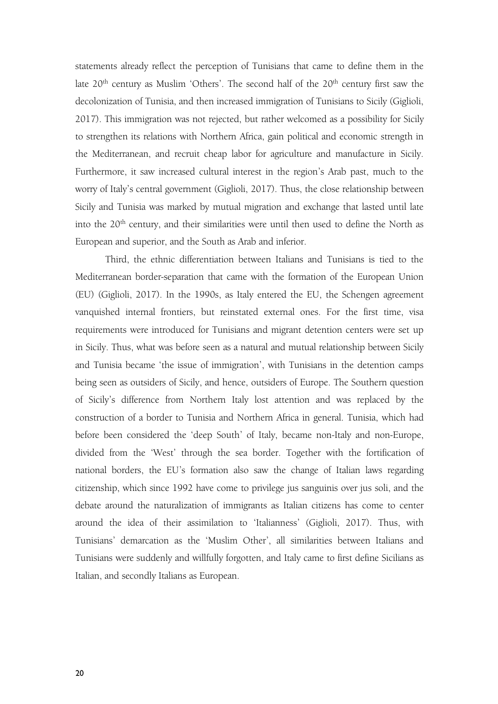statements already reflect the perception of Tunisians that came to define them in the late 20<sup>th</sup> century as Muslim 'Others'. The second half of the 20<sup>th</sup> century first saw the decolonization of Tunisia, and then increased immigration of Tunisians to Sicily (Giglioli, 2017). This immigration was not rejected, but rather welcomed as a possibility for Sicily to strengthen its relations with Northern Africa, gain political and economic strength in the Mediterranean, and recruit cheap labor for agriculture and manufacture in Sicily. Furthermore, it saw increased cultural interest in the region's Arab past, much to the worry of Italy's central government (Giglioli, 2017). Thus, the close relationship between Sicily and Tunisia was marked by mutual migration and exchange that lasted until late into the  $20^{\text{th}}$  century, and their similarities were until then used to define the North as European and superior, and the South as Arab and inferior.

Third, the ethnic differentiation between Italians and Tunisians is tied to the Mediterranean border-separation that came with the formation of the European Union (EU) (Giglioli, 2017). In the 1990s, as Italy entered the EU, the Schengen agreement vanquished internal frontiers, but reinstated external ones. For the first time, visa requirements were introduced for Tunisians and migrant detention centers were set up in Sicily. Thus, what was before seen as a natural and mutual relationship between Sicily and Tunisia became 'the issue of immigration', with Tunisians in the detention camps being seen as outsiders of Sicily, and hence, outsiders of Europe. The Southern question of Sicily's difference from Northern Italy lost attention and was replaced by the construction of a border to Tunisia and Northern Africa in general. Tunisia, which had before been considered the 'deep South' of Italy, became non-Italy and non-Europe, divided from the 'West' through the sea border. Together with the fortification of national borders, the EU's formation also saw the change of Italian laws regarding citizenship, which since 1992 have come to privilege jus sanguinis over jus soli, and the debate around the naturalization of immigrants as Italian citizens has come to center around the idea of their assimilation to 'Italianness' (Giglioli, 2017). Thus, with Tunisians' demarcation as the 'Muslim Other', all similarities between Italians and Tunisians were suddenly and willfully forgotten, and Italycame to first define Sicilians as Italian, and secondly Italians as European.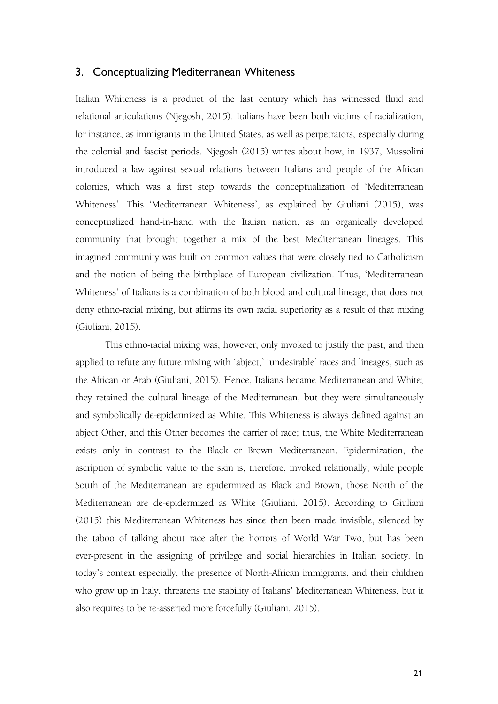#### 3. Conceptualizing Mediterranean Whiteness

Italian Whiteness is a product of the last century which has witnessed fluid and relational articulations (Njegosh, 2015). Italians have been both victims of racialization, for instance, as immigrants in the United States, as well as perpetrators, especially during the colonial and fascist periods. Njegosh (2015) writes about how, in 1937, Mussolini introduced a law against sexual relations between Italians and people of the African colonies, which was a first step towards the conceptualization of 'Mediterranean Whiteness'. This 'Mediterranean Whiteness', as explained by Giuliani (2015), was conceptualized hand-in-hand with the Italian nation, as an organically developed community that brought together a mix of the best Mediterranean lineages. This imagined community was built on common values that were closely tied to Catholicism and the notion of being the birthplace of European civilization. Thus, 'Mediterranean Whiteness' of Italians is a combination of both blood and cultural lineage, that does not deny ethno-racial mixing, but affirms its own racial superiority as a result of that mixing (Giuliani, 2015).

This ethno-racial mixing was, however, only invoked to justify the past, and then applied to refute any future mixing with 'abject,' 'undesirable' races and lineages, such as the African or Arab (Giuliani, 2015). Hence, Italians became Mediterranean and White; they retained the cultural lineage of the Mediterranean, but they were simultaneously and symbolically de-epidermized as White. This Whiteness is always defined against an abject Other, and this Other becomes the carrier of race; thus, the White Mediterranean exists only in contrast to the Black or Brown Mediterranean. Epidermization, the ascription of symbolic value to the skin is, therefore, invoked relationally; while people South of the Mediterranean are epidermized as Black and Brown, those North of the Mediterranean are de-epidermized as White (Giuliani, 2015). According to Giuliani (2015) this Mediterranean Whiteness has since then been made invisible, silenced by the taboo of talking about race after the horrors of World War Two, but has been ever-present in the assigning of privilege and social hierarchies in Italian society. In today's context especially, the presence of North-African immigrants, and their children who grow up in Italy, threatens the stability of Italians' Mediterranean Whiteness, but it also requires to be re-asserted more forcefully (Giuliani, 2015).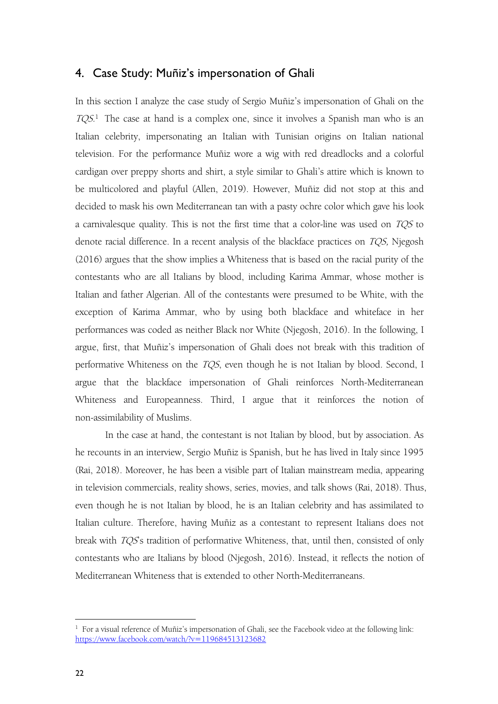### 4. Case Study: Muñiz's impersonation of Ghali

In this section I analyze the case study of Sergio Muñiz's impersonation of Ghali on the  $TQS<sup>1</sup>$  $TQS<sup>1</sup>$  $TQS<sup>1</sup>$ . The case at hand is a complex one, since it involves a Spanish man who is an Italian celebrity, impersonating an Italian with Tunisian origins on Italian national television. For the performance Muñiz wore a wig with red dreadlocks and a colorful cardigan over preppy shorts and shirt, a style similar to Ghali's attire which is known to be multicolored and playful (Allen, 2019). However, Muñiz did not stop at this and decided to mask his own Mediterranean tan with a pasty ochre color which gave his look a carnivalesque quality. This is not the first time that a color-line was used on TQS to denote racial difference. In a recent analysis of the blackface practices on TQS, Njegosh (2016) argues that the show implies a Whiteness that is based on the racial purity of the contestants who are all Italians by blood, including Karima Ammar, whose mother is Italian and father Algerian. All of the contestants were presumed to be White, with the exception of Karima Ammar, who by using both blackface and whiteface in her performances was coded as neither Black nor White (Njegosh, 2016). In the following, I argue, first, that Muñiz's impersonation of Ghali does not break with this tradition of performative Whiteness on the TQS, even though he is not Italian by blood. Second, I argue that the blackface impersonation of Ghali reinforces North-Mediterranean Whiteness and Europeanness. Third, I argue that it reinforces the notion of non-assimilability of Muslims.

In the case at hand, the contestant is not Italian by blood, but by association. As he recounts in an interview, Sergio Muñiz is Spanish, but he has lived in Italy since 1995 (Rai, 2018). Moreover, he has been a visible part of Italian mainstream media, appearing in television commercials, reality shows, series, movies, and talk shows (Rai, 2018). Thus, even though he is not Italian by blood, he is an Italian celebrity and has assimilated to Italian culture. Therefore, having Muñiz as a contestant to represent Italians does not break with TQS's tradition of performative Whiteness, that, until then, consisted of only contestants who are Italians by blood (Njegosh, 2016). Instead, it reflects the notion of Mediterranean Whiteness that is extended to other North-Mediterraneans.

<span id="page-5-0"></span> $1$  For a visual reference of Muñiz's impersonation of Ghali, see the Facebook video at the following link: <https://www.facebook.com/watch/?v=119684513123682>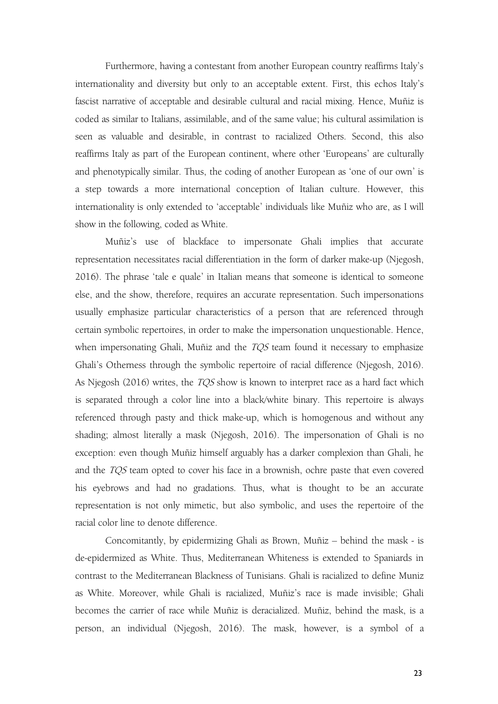Furthermore, having a contestant from another European country reaffirms Italy's internationality and diversity but only to an acceptable extent. First, this echos Italy's fascist narrative of acceptable and desirable cultural and racial mixing. Hence, Muñiz is coded as similar to Italians, assimilable, and of the same value; his cultural assimilation is seen as valuable and desirable, in contrast to racialized Others. Second, this also reaffirms Italy as part of the European continent, where other 'Europeans' are culturally and phenotypically similar. Thus, the coding of another European as 'one of our own' is a step towards a more international conception of Italian culture. However, this internationality is only extended to 'acceptable' individuals like Muñiz who are, as I will show in the following, coded as White.

Muñiz's use of blackface to impersonate Ghali implies that accurate representation necessitates racial differentiation in the form of darker make-up (Njegosh, 2016). The phrase 'tale e quale' in Italian means that someone is identical to someone else, and the show, therefore, requires an accurate representation. Such impersonations usually emphasize particular characteristics of a person that are referenced through certain symbolic repertoires, in order to make the impersonation unquestionable. Hence, when impersonating Ghali, Muñiz and the *TQS* team found it necessary to emphasize Ghali's Otherness through the symbolic repertoire of racial difference (Njegosh, 2016). As Njegosh (2016) writes, the *TQS* show is known to interpret race as a hard fact which is separated through a color line into a black/white binary.This repertoire is always referenced through pasty and thick make-up, which is homogenous and without any shading; almost literally a mask (Njegosh, 2016). The impersonation of Ghali is no exception: even though Muñiz himself arguably has a darker complexion than Ghali, he and the TQS team opted to cover his face in a brownish, ochre paste that even covered his eyebrows and had no gradations. Thus, what is thought to be an accurate representation is not only mimetic, but also symbolic, and uses the repertoire of the racial color line to denote difference.

Concomitantly, by epidermizing Ghali as Brown, Muñiz - behind the mask - is de-epidermized as White. Thus, Mediterranean Whiteness is extended to Spaniards in contrast to the Mediterranean Blackness of Tunisians. Ghali is racialized to define Muniz as White. Moreover, while Ghali is racialized, Muñiz's race is made invisible; Ghali becomes the carrier of race while Muñiz is deracialized. Muñiz, behind the mask, is a person, an individual (Njegosh, 2016). The mask, however, is a symbol of a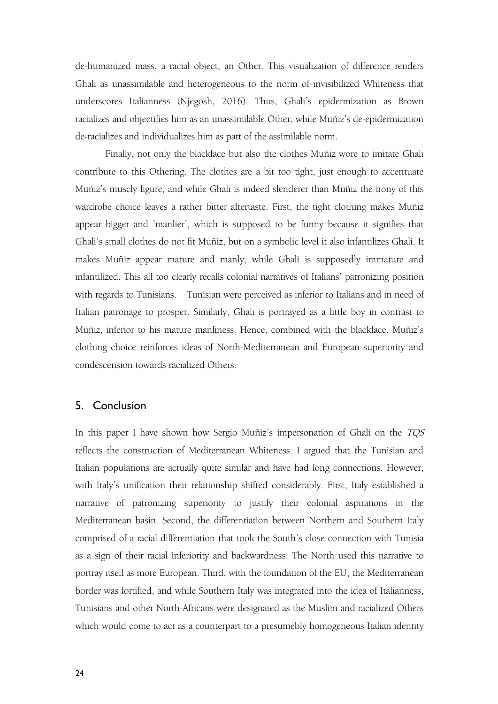de-humanized mass, a racial object, an Other. This visualization of difference renders Ghali as unassimilable and heterogeneous to the norm of invisibilized Whiteness that underscores Italianness (Njegosh, 2016). Thus, Ghali's epidermization as Brown racializes and objectifies him as an unassimilable Other, while Muñiz's de-epidermization de-racializes and individualizes him as part of the assimilable norm.

Finally, not only the blackface but also the clothes Muñiz wore to imitate Ghali contribute to this Othering. The clothes are a bit too tight, just enough to accentuate Muñiz's muscly figure, and while Ghali is indeed slenderer than Muñiz the irony of this wardrobe choice leaves a rather bitter aftertaste. First, the tight clothing makes Muñiz appear bigger and 'manlier', which is supposed to be funny because it signifies that Ghali's small clothes do not fit Muñiz, but on a symbolic level it also infantilizes Ghali. It makes Muñiz appear mature and manly, while Ghali is supposedly immature and infantilized. This all too clearly recalls colonial narratives of Italians' patronizing position with regards to Tunisians. Tunisian were perceived as inferior to Italians and in need of Italian patronage to prosper. Similarly, Ghali is portrayed as a little boy in contrast to Muñiz, inferior to his mature manliness. Hence, combined with the blackface, Muñiz's clothing choice reinforces ideas of North-Mediterranean and European superiority and condescension towards racialized Others.

#### 5. Conclusion

In this paper I have shown how Sergio Muñiz's impersonation of Ghali on the TQS reflects the construction of Mediterranean Whiteness. I argued that the Tunisian and Italian populations are actually quite similar and have had long connections. However, with Italy's unification their relationship shifted considerably. First, Italy established a narrative of patronizing superiority to justify their colonial aspirations in the Mediterranean basin. Second, the differentiation between Northern and Southern Italy comprised of a racial differentiation that took the South's close connection with Tunisia as a sign of their racial inferiority and backwardness. The North used this narrative to portray itself as more European. Third, with the foundation of the EU, the Mediterranean border was fortified, and while Southern Italy was integrated into the idea of Italianness, Tunisians and other North-Africans were designated as the Muslim and racialized Others which would come to act as a counterpart to a presumebly homogeneous Italian identity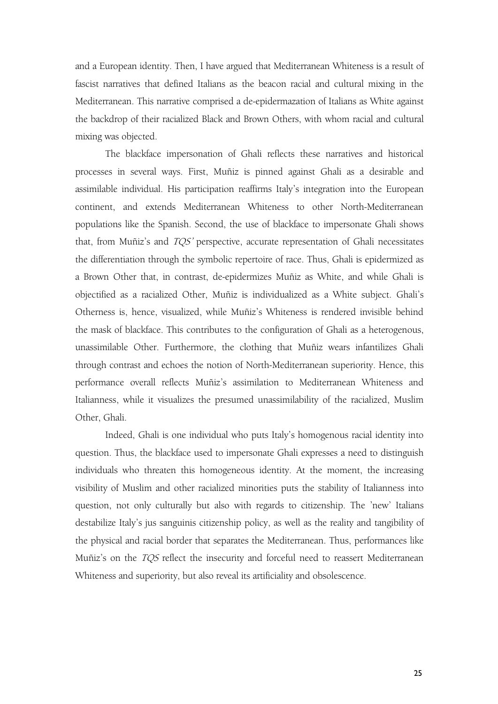and a European identity. Then, I have argued that Mediterranean Whiteness is a result of fascist narratives that defined Italians as the beacon racial and cultural mixing in the Mediterranean. This narrative comprised a de-epidermazation of Italians as White against the backdrop of their racialized Black and Brown Others, with whom racial and cultural mixing was objected.

The blackface impersonation of Ghali reflects these narratives and historical processes in several ways. First, Muñiz is pinned against Ghali as a desirable and assimilable individual. His participation reaffirms Italy's integration into the European continent, and extends Mediterranean Whiteness to other North-Mediterranean populations like the Spanish. Second, the use of blackface to impersonate Ghali shows that, from Muñiz's and TQS' perspective, accurate representation of Ghali necessitates the differentiation through the symbolic repertoire of race.Thus, Ghali is epidermized as a Brown Other that, in contrast, de-epidermizes Muñiz as White, and while Ghali is objectified as a racialized Other, Muñiz is individualized as a White subject. Ghali's Otherness is, hence, visualized, while Muñiz's Whiteness is rendered invisible behind the mask of blackface. This contributes to the configuration of Ghali as a heterogenous, unassimilable Other. Furthermore, the clothing that Muñiz wears infantilizes Ghali through contrast and echoes the notion of North-Mediterranean superiority. Hence, this performance overall reflects Muñiz's assimilation to Mediterranean Whiteness and Italianness, while it visualizes the presumed unassimilability of the racialized, Muslim Other, Ghali.

Indeed, Ghali is one individual who puts Italy's homogenous racial identity into question. Thus, the blackface used to impersonate Ghali expresses a need to distinguish individuals who threaten this homogeneous identity. At the moment, the increasing visibility of Muslim and other racialized minorities puts the stability of Italianness into question, not only culturally but also with regards to citizenship. The 'new' Italians destabilize Italy's jus sanguinis citizenship policy, as well as the reality and tangibility of the physical and racial border that separates the Mediterranean. Thus, performances like Muñiz's on the *TQS* reflect the insecurity and forceful need to reassert Mediterranean Whiteness and superiority, but also reveal its artificiality and obsolescence.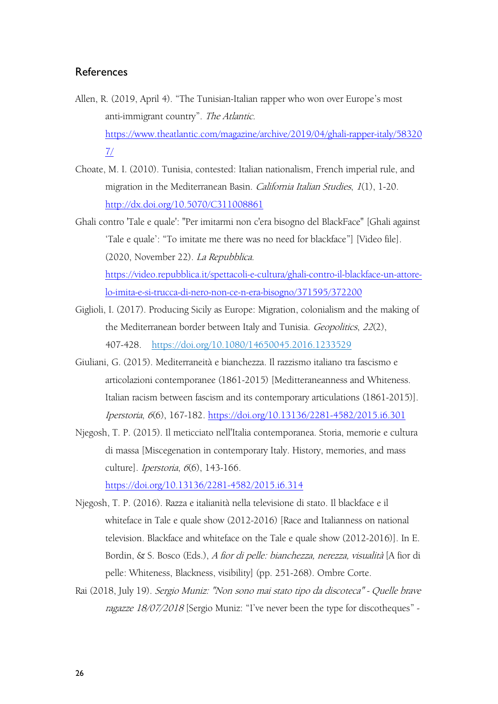### References

- Allen, R. (2019, April 4). "The Tunisian-Italian rapper who won over Europe's most anti-immigrant country". The Atlantic. [https://www.theatlantic.com/magazine/archive/2019/04/ghali-rapper-italy/58320](https://www.theatlantic.com/magazine/archive/2019/04/ghali-rapper-italy/583207/) 7/
- Choate, M. I. (2010). Tunisia, contested: Italian nationalism, French imperial rule, and migration in the Mediterranean Basin. California Italian Studies, <sup>1</sup>(1), 1-20. <http://dx.doi.org/10.5070/C311008861>
- Ghali contro 'Tale e quale': "Per imitarmi non c'era bisogno del BlackFace" [Ghali against 'Tale e quale': "To imitate me there was no need for blackface"] [Video file]. (2020, November 22). La Repubblica. [https://video.repubblica.it/spettacoli-e-cultura/ghali-contro-il-blackface-un-attore](https://video.repubblica.it/spettacoli-e-cultura/ghali-contro-il-blackface-un-attore-lo-imita-e-si-trucca-di-nero-non-ce-n-era-bisogno/371595/372200)lo-imita-e-si-trucca-di-nero-non-ce-n-era-bisogno/371595/372200
- Giglioli, I. (2017). Producing Sicily as Europe: Migration, colonialism and the making of the Mediterranean border between Italyand Tunisia. Geopolitics, <sup>22</sup>(2), 407-428. <https://doi.org/10.1080/14650045.2016.1233529>
- Giuliani, G. (2015). Mediterraneità e bianchezza. Il razzismo italiano tra fascismo e articolazioni contemporanee (1861-2015) [Meditteraneanness and Whiteness. Italian racism between fascism and its contemporary articulations (1861-2015)]. Iperstoria, <sup>6</sup>(6), 167-182. <https://doi.org/10.13136/2281-4582/2015.i6.301>
- Njegosh, T. P. (2015). Il meticciato nell'Italia contemporanea. Storia, memorie e cultura di massa [Miscegenation in contemporary Italy. History, memories, and mass culture]. Iperstoria, <sup>6</sup>(6), 143-166. <https://doi.org/10.13136/2281-4582/2015.i6.314>
- Njegosh, T. P. (2016). Razza e italianità nella televisione di stato. Il blackface e il whiteface in Tale e quale show (2012-2016) [Race and Italianness on national television. Blackface and whiteface on the Tale e quale show (2012-2016)]. In E. Bordin, & S. Bosco (Eds.), <sup>A</sup> fior di pelle: bianchezza, nerezza, visualità [A fior di pelle: Whiteness, Blackness, visibility] (pp. 251-268). Ombre Corte.
- Rai (2018, July 19). Sergio Muniz: "Non sono mai stato tipo da discoteca" Quelle brave ragazze 18/07/2018 [Sergio Muniz: "I've never been the type for discotheques" -